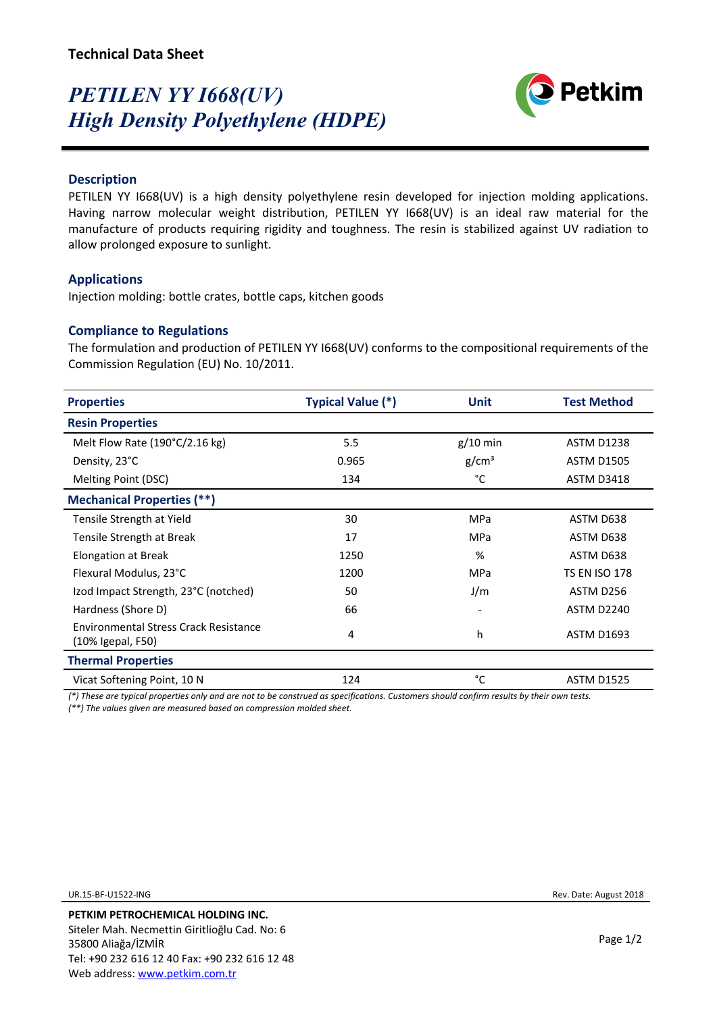# *PETILEN YY I668(UV) High Density Polyethylene (HDPE)*



## **Description**

PETILEN YY 1668(UV) is a high density polyethylene resin developed for injection molding applications. Having narrow molecular weight distribution, PETILEN YY I668(UV) is an ideal raw material for the manufacture of products requiring rigidity and toughness. The resin is stabilized against UV radiation to allow prolonged exposure to sunlight.

### **Applications**

Injection molding: bottle crates, bottle caps, kitchen goods

## **Compliance to Regulations**

The formulation and production of PETILEN YY I668(UV) conforms to the compositional requirements of the Commission Regulation (EU) No. 10/2011.

| <b>Properties</b>                                          | <b>Typical Value (*)</b> | <b>Unit</b>              | <b>Test Method</b>   |
|------------------------------------------------------------|--------------------------|--------------------------|----------------------|
| <b>Resin Properties</b>                                    |                          |                          |                      |
| Melt Flow Rate (190°C/2.16 kg)                             | 5.5                      | $g/10$ min               | <b>ASTM D1238</b>    |
| Density, 23°C                                              | 0.965                    | g/cm <sup>3</sup>        | <b>ASTM D1505</b>    |
| Melting Point (DSC)                                        | 134                      | °C                       | <b>ASTM D3418</b>    |
| <b>Mechanical Properties (**)</b>                          |                          |                          |                      |
| Tensile Strength at Yield                                  | 30                       | <b>MPa</b>               | ASTM D638            |
| Tensile Strength at Break                                  | 17                       | <b>MPa</b>               | ASTM D638            |
| Elongation at Break                                        | 1250                     | %                        | ASTM D638            |
| Flexural Modulus, 23°C                                     | 1200                     | <b>MPa</b>               | <b>TS EN ISO 178</b> |
| Izod Impact Strength, 23°C (notched)                       | 50                       | J/m                      | ASTM D256            |
| Hardness (Shore D)                                         | 66                       | $\overline{\phantom{a}}$ | ASTM D2240           |
| Environmental Stress Crack Resistance<br>(10% Igepal, F50) | 4                        | h                        | <b>ASTM D1693</b>    |
| <b>Thermal Properties</b>                                  |                          |                          |                      |
| Vicat Softening Point, 10 N                                | 124                      | °C                       | <b>ASTM D1525</b>    |

*(\*) These are typical properties only and are not to be construed as specifications. Customers should confirm results by their own tests.*

*(\*\*) The values given are measured based on compression molded sheet.*